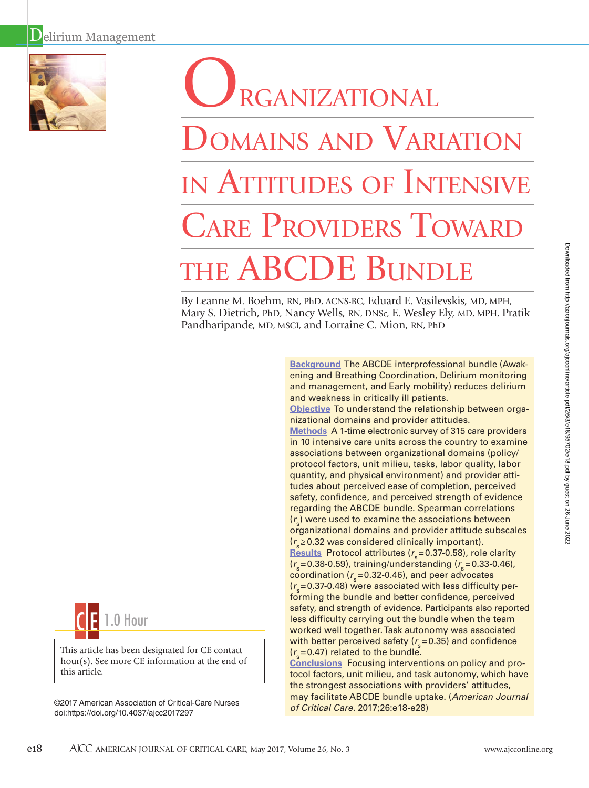

# RGANIZATIONAL Domains and Variation in Attitudes of Intensi **CARE PROVIDERS TOWARD** the ABCDE Bundle

By Leanne M. Boehm, RN, PhD, ACNS-BC, Eduard E. Vasilevskis, MD, MPH, Mary S. Dietrich, PhD, Nancy Wells, RN, DNSc, E. Wesley Ely, MD, MPH, Pratik Pandharipande, MD, MSCI, and Lorraine C. Mion, RN, PhD

> **Background** The ABCDE interprofessional bundle (Awakening and Breathing Coordination, Delirium monitoring and management, and Early mobility) reduces delirium and weakness in critically ill patients.

> **Objective** To understand the relationship between organizational domains and provider attitudes.

> **Methods** A 1-time electronic survey of 315 care providers in 10 intensive care units across the country to examine associations between organizational domains (policy/ protocol factors, unit milieu, tasks, labor quality, labor quantity, and physical environment) and provider attitudes about perceived ease of completion, perceived safety, confidence, and perceived strength of evidence regarding the ABCDE bundle. Spearman correlations (*r* s ) were used to examine the associations between organizational domains and provider attitude subscales (*r* <sup>s</sup>≥0.32 was considered clinically important). **Results** Protocol attributes (*r* <sup>s</sup>=0.37-0.58), role clarity (*r* <sup>s</sup>= 0.38-0.59), training/understanding (*r* <sup>s</sup>=0.33-0.46), coordination (*r* <sup>s</sup>=0.32-0.46), and peer advocates (*r* s=0.37-0.48) were associated with less difficulty performing the bundle and better confidence, perceived safety, and strength of evidence. Participants also reported less difficulty carrying out the bundle when the team worked well together. Task autonomy was associated with better perceived safety (*r* <sup>s</sup>=0.35) and confidence (*r* <sup>s</sup>=0.47) related to the bundle.

> **Conclusions** Focusing interventions on policy and protocol factors, unit milieu, and task autonomy, which have the strongest associations with providers' attitudes, may facilitate ABCDE bundle uptake. (*American Journal of Critical Care.* 2017;26:e18-e28)



This article has been designated for CE contact hour(s). See more CE information at the end of this article.

©2017 American Association of Critical-Care Nurses doi:https://doi.org/10.4037/ajcc2017297

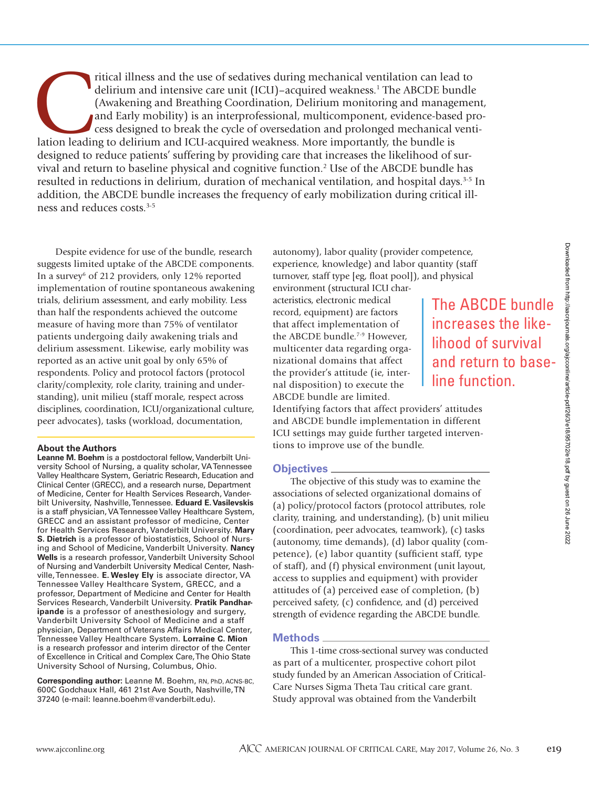Downloaded from http://aacnjournals.org/ajcconline/article-pdf/26/3/e18/95702/e18.pdf by guest on 26 June 2022 Downloaded from http://aacnjournals.org/ajcconline/article-pdf/26/3/e18/95702/e18.pdf by guest on 26 June 2022The ABCDE bundle increases the likelihood of survival and return to base-

line function.

Tritical illness and the use of sedatives during mechanical ventilation can lead to delirium and intensive care unit (ICU)-acquired weakness.<sup>1</sup> The ABCDE bundle (Awakening and Breathing Coordination, Delirium monitoring a delirium and intensive care unit (ICU)–acquired weakness.<sup>1</sup> The ABCDE bundle (Awakening and Breathing Coordination, Delirium monitoring and management, and Early mobility) is an interprofessional, multicomponent, evidence-based process designed to break the cycle of oversedation and prolonged mechanical ventidesigned to reduce patients' suffering by providing care that increases the likelihood of survival and return to baseline physical and cognitive function.<sup>2</sup> Use of the ABCDE bundle has resulted in reductions in delirium, duration of mechanical ventilation, and hospital days.<sup>3-5</sup> In addition, the ABCDE bundle increases the frequency of early mobilization during critical illness and reduces costs.<sup>3-5</sup>

Despite evidence for use of the bundle, research suggests limited uptake of the ABCDE components. In a survey<sup>6</sup> of 212 providers, only 12% reported implementation of routine spontaneous awakening trials, delirium assessment, and early mobility. Less than half the respondents achieved the outcome measure of having more than 75% of ventilator patients undergoing daily awakening trials and delirium assessment. Likewise, early mobility was reported as an active unit goal by only 65% of respondents. Policy and protocol factors (protocol clarity/complexity, role clarity, training and understanding), unit milieu (staff morale, respect across disciplines, coordination, ICU/organizational culture, peer advocates), tasks (workload, documentation,

#### **About the Authors**

**Leanne M. Boehm** is a postdoctoral fellow, Vanderbilt University School of Nursing, a quality scholar, VA Tennessee Valley Healthcare System, Geriatric Research, Education and Clinical Center (GRECC), and a research nurse, Department of Medicine, Center for Health Services Research, Vanderbilt University, Nashville, Tennessee. **Eduard E. Vasilevskis** is a staff physician, VA Tennessee Valley Healthcare System, GRECC and an assistant professor of medicine, Center for Health Services Research, Vanderbilt University. **Mary S. Dietrich** is a professor of biostatistics, School of Nursing and School of Medicine, Vanderbilt University. **Nancy Wells** is a research professor, Vanderbilt University School of Nursing and Vanderbilt University Medical Center, Nashville, Tennessee. **E. Wesley Ely** is associate director, VA Tennessee Valley Healthcare System, GRECC, and a professor, Department of Medicine and Center for Health Services Research, Vanderbilt University. **Pratik Pandharipande** is a professor of anesthesiology and surgery, Vanderbilt University School of Medicine and a staff physician, Department of Veterans Affairs Medical Center, Tennessee Valley Healthcare System. **Lorraine C. Mion** is a research professor and interim director of the Center of Excellence in Critical and Complex Care, The Ohio State University School of Nursing, Columbus, Ohio.

**Corresponding author:** Leanne M. Boehm, RN, PhD, ACNS-BC, 600C Godchaux Hall, 461 21st Ave South, Nashville, TN 37240 (e-mail: leanne.boehm@vanderbilt.edu).

autonomy), labor quality (provider competence, experience, knowledge) and labor quantity (staff turnover, staff type [eg, float pool]), and physical

environment (structural ICU characteristics, electronic medical record, equipment) are factors that affect implementation of the ABCDE bundle.7-9 However, multicenter data regarding organizational domains that affect the provider's attitude (ie, internal disposition) to execute the ABCDE bundle are limited.

Identifying factors that affect providers' attitudes and ABCDE bundle implementation in different ICU settings may guide further targeted interventions to improve use of the bundle.

#### **Objectives**

The objective of this study was to examine the associations of selected organizational domains of (a) policy/protocol factors (protocol attributes, role clarity, training, and understanding), (b) unit milieu (coordination, peer advocates, teamwork), (c) tasks (autonomy, time demands), (d) labor quality (competence), (e) labor quantity (sufficient staff, type of staff), and (f) physical environment (unit layout, access to supplies and equipment) with provider attitudes of (a) perceived ease of completion, (b) perceived safety, (c) confidence, and (d) perceived strength of evidence regarding the ABCDE bundle.

#### **Methods**

This 1-time cross-sectional survey was conducted as part of a multicenter, prospective cohort pilot study funded by an American Association of Critical-Care Nurses Sigma Theta Tau critical care grant. Study approval was obtained from the Vanderbilt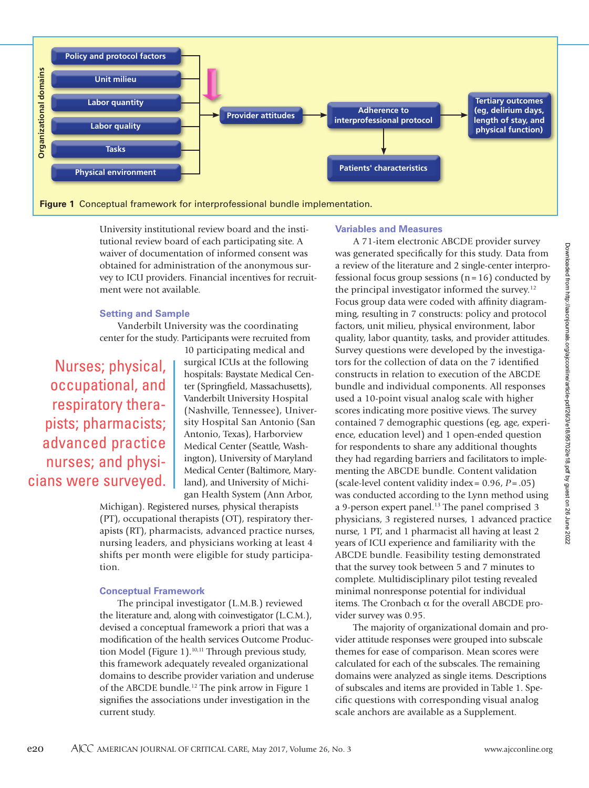

University institutional review board and the institutional review board of each participating site. A waiver of documentation of informed consent was obtained for administration of the anonymous survey to ICU providers. Financial incentives for recruitment were not available.

#### **Setting and Sample**

Vanderbilt University was the coordinating center for the study. Participants were recruited from

Nurses; physical, occupational, and respiratory therapists; pharmacists; advanced practice nurses; and physicians were surveyed.

10 participating medical and surgical ICUs at the following hospitals: Baystate Medical Center (Springfield, Massachusetts), Vanderbilt University Hospital (Nashville, Tennessee), University Hospital San Antonio (San Antonio, Texas), Harborview Medical Center (Seattle, Washington), University of Maryland Medical Center (Baltimore, Maryland), and University of Michigan Health System (Ann Arbor,

Michigan). Registered nurses, physical therapists (PT), occupational therapists (OT), respiratory therapists (RT), pharmacists, advanced practice nurses, nursing leaders, and physicians working at least 4 shifts per month were eligible for study participation.

#### **Conceptual Framework**

The principal investigator (L.M.B.) reviewed the literature and, along with coinvestigator (L.C.M.), devised a conceptual framework a priori that was a modification of the health services Outcome Production Model (Figure 1).<sup>10,11</sup> Through previous study, this framework adequately revealed organizational domains to describe provider variation and underuse of the ABCDE bundle.12 The pink arrow in Figure 1 signifies the associations under investigation in the current study.

#### **Variables and Measures**

A 71-item electronic ABCDE provider survey was generated specifically for this study. Data from a review of the literature and 2 single-center interprofessional focus group sessions  $(n=16)$  conducted by the principal investigator informed the survey.<sup>12</sup> Focus group data were coded with affinity diagramming, resulting in 7 constructs: policy and protocol factors, unit milieu, physical environment, labor quality, labor quantity, tasks, and provider attitudes. Survey questions were developed by the investigators for the collection of data on the 7 identified constructs in relation to execution of the ABCDE bundle and individual components. All responses used a 10-point visual analog scale with higher scores indicating more positive views. The survey contained 7 demographic questions (eg, age, experience, education level) and 1 open-ended question for respondents to share any additional thoughts they had regarding barriers and facilitators to implementing the ABCDE bundle. Content validation (scale-level content validity index= 0.96, *P*=.05) was conducted according to the Lynn method using a 9-person expert panel.<sup>13</sup> The panel comprised 3 physicians, 3 registered nurses, 1 advanced practice nurse, 1 PT, and 1 pharmacist all having at least 2 years of ICU experience and familiarity with the ABCDE bundle. Feasibility testing demonstrated that the survey took between 5 and 7 minutes to complete. Multidisciplinary pilot testing revealed minimal nonresponse potential for individual items. The Cronbach  $\alpha$  for the overall ABCDE provider survey was 0.95.

The majority of organizational domain and provider attitude responses were grouped into subscale themes for ease of comparison. Mean scores were calculated for each of the subscales. The remaining domains were analyzed as single items. Descriptions of subscales and items are provided in Table 1. Specific questions with corresponding visual analog scale anchors are available as a Supplement.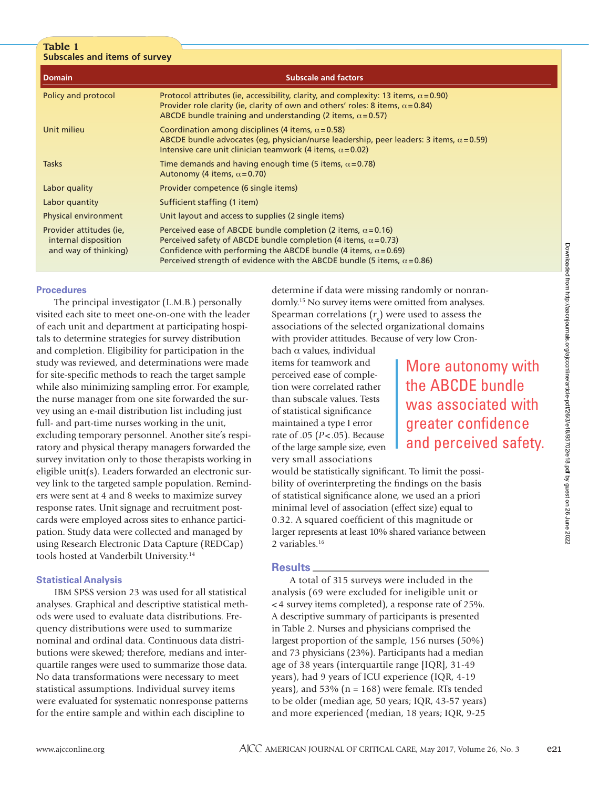| Table 1<br>Subscales and items of survey                                |                                                                                                                                                                                                                                                                                                                |  |  |  |
|-------------------------------------------------------------------------|----------------------------------------------------------------------------------------------------------------------------------------------------------------------------------------------------------------------------------------------------------------------------------------------------------------|--|--|--|
| <b>Domain</b>                                                           | <b>Subscale and factors</b>                                                                                                                                                                                                                                                                                    |  |  |  |
| Policy and protocol                                                     | Protocol attributes (ie, accessibility, clarity, and complexity: 13 items, $\alpha$ = 0.90)<br>Provider role clarity (ie, clarity of own and others' roles: 8 items, $\alpha = 0.84$ )<br>ABCDE bundle training and understanding (2 items, $\alpha = 0.57$ )                                                  |  |  |  |
| Unit milieu                                                             | Coordination among disciplines (4 items, $\alpha$ = 0.58)<br>ABCDE bundle advocates (eq. physician/nurse leadership, peer leaders: 3 items, $\alpha$ =0.59)<br>Intensive care unit clinician teamwork (4 items, $\alpha = 0.02$ )                                                                              |  |  |  |
| <b>Tasks</b>                                                            | Time demands and having enough time (5 items, $\alpha$ =0.78)<br>Autonomy (4 items, $\alpha = 0.70$ )                                                                                                                                                                                                          |  |  |  |
| Labor quality                                                           | Provider competence (6 single items)                                                                                                                                                                                                                                                                           |  |  |  |
| Labor quantity                                                          | Sufficient staffing (1 item)                                                                                                                                                                                                                                                                                   |  |  |  |
| Physical environment                                                    | Unit layout and access to supplies (2 single items)                                                                                                                                                                                                                                                            |  |  |  |
| Provider attitudes (ie,<br>internal disposition<br>and way of thinking) | Perceived ease of ABCDE bundle completion (2 items, $\alpha$ = 0.16)<br>Perceived safety of ABCDE bundle completion (4 items, $\alpha = 0.73$ )<br>Confidence with performing the ABCDE bundle (4 items, $\alpha = 0.69$ )<br>Perceived strength of evidence with the ABCDE bundle (5 items, $\alpha = 0.86$ ) |  |  |  |

#### **Procedures**

The principal investigator (L.M.B.) personally visited each site to meet one-on-one with the leader of each unit and department at participating hospitals to determine strategies for survey distribution and completion. Eligibility for participation in the study was reviewed, and determinations were made for site-specific methods to reach the target sample while also minimizing sampling error. For example, the nurse manager from one site forwarded the survey using an e-mail distribution list including just full- and part-time nurses working in the unit, excluding temporary personnel. Another site's respiratory and physical therapy managers forwarded the survey invitation only to those therapists working in eligible unit(s). Leaders forwarded an electronic survey link to the targeted sample population. Reminders were sent at 4 and 8 weeks to maximize survey response rates. Unit signage and recruitment postcards were employed across sites to enhance participation. Study data were collected and managed by using Research Electronic Data Capture (REDCap) tools hosted at Vanderbilt University.14

#### **Statistical Analysis**

IBM SPSS version 23 was used for all statistical analyses. Graphical and descriptive statistical methods were used to evaluate data distributions. Frequency distributions were used to summarize nominal and ordinal data. Continuous data distributions were skewed; therefore, medians and interquartile ranges were used to summarize those data. No data transformations were necessary to meet statistical assumptions. Individual survey items were evaluated for systematic nonresponse patterns for the entire sample and within each discipline to

determine if data were missing randomly or nonrandomly.15 No survey items were omitted from analyses. Spearman correlations  $(r<sub>s</sub>)$  were used to assess the associations of the selected organizational domains with provider attitudes. Because of very low Cron-

bach  $\alpha$  values, individual items for teamwork and perceived ease of completion were correlated rather than subscale values. Tests of statistical significance maintained a type I error rate of .05 (*P*<.05). Because of the large sample size, even very small associations

More autonomy with the ABCDE bundle was associated with greater confidence and perceived safety.

would be statistically significant. To limit the possibility of overinterpreting the findings on the basis of statistical significance alone, we used an a priori minimal level of association (effect size) equal to 0.32. A squared coefficient of this magnitude or larger represents at least 10% shared variance between 2 variables.<sup>16</sup>

#### **Results**

A total of 315 surveys were included in the analysis (69 were excluded for ineligible unit or < 4 survey items completed), a response rate of 25%. A descriptive summary of participants is presented in Table 2. Nurses and physicians comprised the largest proportion of the sample, 156 nurses (50%) and 73 physicians (23%). Participants had a median age of 38 years (interquartile range [IQR], 31-49 years), had 9 years of ICU experience (IQR, 4-19 years), and 53% (n = 168) were female. RTs tended to be older (median age, 50 years; IQR, 43-57 years) and more experienced (median, 18 years; IQR, 9-25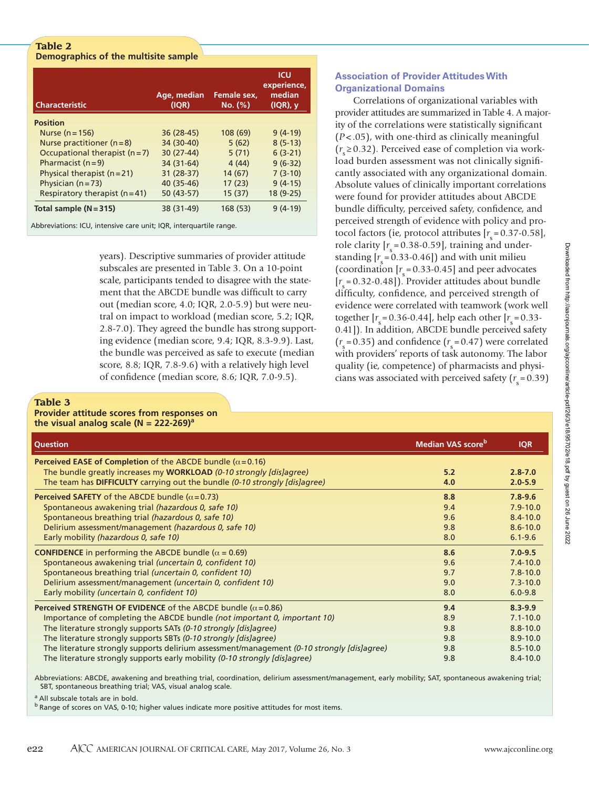#### **Table 2 Demographics of the multisite sample**

| <b>Characteristic</b>          | Age, median<br>(IQR) | Female sex,<br>No. (%) | <b>ICU</b><br>experience,<br>median<br>(IQR), y |
|--------------------------------|----------------------|------------------------|-------------------------------------------------|
| <b>Position</b>                |                      |                        |                                                 |
| Nurse ( $n = 156$ )            | 36 (28-45)           | 108(69)                | $9(4-19)$                                       |
| Nurse practitioner $(n=8)$     | 34 (30-40)           | 5(62)                  | $8(5-13)$                                       |
| Occupational therapist $(n=7)$ | 30 (27-44)           | 5(71)                  | $6(3-21)$                                       |
| Pharmacist $(n=9)$             | 34 (31-64)           | 4(44)                  | $9(6-32)$                                       |
| Physical therapist $(n=21)$    | 31 (28-37)           | 14(67)                 | $7(3-10)$                                       |
| Physician $(n=73)$             | 40 (35-46)           | 17(23)                 | $9(4-15)$                                       |
| Respiratory therapist $(n=41)$ | 50 (43-57)           | 15(37)                 | 18 (9-25)                                       |
| Total sample $(N = 315)$       | 38 (31-49)           | 168 (53)               | $9(4-19)$                                       |

Abbreviations: ICU, intensive care unit; IQR, interquartile range.

years). Descriptive summaries of provider attitude subscales are presented in Table 3. On a 10-point scale, participants tended to disagree with the statement that the ABCDE bundle was difficult to carry out (median score, 4.0; IQR, 2.0-5.9) but were neutral on impact to workload (median score, 5.2; IQR, 2.8-7.0). They agreed the bundle has strong supporting evidence (median score, 9.4; IQR, 8.3-9.9). Last, the bundle was perceived as safe to execute (median score, 8.8; IQR, 7.8-9.6) with a relatively high level of confidence (median score, 8.6; IQR, 7.0-9.5).

#### **Association of Provider Attitudes With Organizational Domains**

Correlations of organizational variables with provider attitudes are summarized in Table 4. A majority of the correlations were statistically significant (*P* < .05), with one-third as clinically meaningful  $(r<sub>s</sub> \ge 0.32)$ . Perceived ease of completion via workload burden assessment was not clinically significantly associated with any organizational domain. Absolute values of clinically important correlations were found for provider attitudes about ABCDE bundle difficulty, perceived safety, confidence, and perceived strength of evidence with policy and protocol factors (ie, protocol attributes  $[r_s = 0.37 - 0.58]$ , role clarity  $[r_s = 0.38 - 0.59]$ , training and understanding  $[r_s = 0.33 - 0.46]$  and with unit milieu (coordination  $[r_s = 0.33 - 0.45]$  and peer advocates  $[r_s = 0.32 - 0.48]$ . Provider attitudes about bundle difficulty, confidence, and perceived strength of evidence were correlated with teamwork (work well together  $[r_s = 0.36 - 0.44]$ , help each other  $[r_s = 0.33 -$ 0.41]). In addition, ABCDE bundle perceived safety  $(r<sub>s</sub>=0.35)$  and confidence  $(r<sub>s</sub>=0.47)$  were correlated with providers' reports of task autonomy. The labor quality (ie, competence) of pharmacists and physicians was associated with perceived safety  $(r<sub>s</sub> = 0.39)$ 

### **Table 3**

**Provider attitude scores from responses on the visual analog scale (N = 222-269)a**

| <b>Question</b>                                                                            | <b>Median VAS score</b> b | <b>IQR</b>   |
|--------------------------------------------------------------------------------------------|---------------------------|--------------|
| Perceived EASE of Completion of the ABCDE bundle ( $\alpha$ =0.16)                         |                           |              |
| The bundle greatly increases my WORKLOAD (0-10 strongly [dis]agree)                        | 5.2                       | $2.8 - 7.0$  |
| The team has DIFFICULTY carrying out the bundle (0-10 strongly [dis]agree)                 | 4.0                       | $2.0 - 5.9$  |
| <b>Perceived SAFETY</b> of the ABCDE bundle ( $\alpha$ = 0.73)                             | 8.8                       | $7.8 - 9.6$  |
| Spontaneous awakening trial (hazardous 0, safe 10)                                         | 9.4                       | $7.9 - 10.0$ |
| Spontaneous breathing trial (hazardous 0, safe 10)                                         | 9.6                       | $8.4 - 10.0$ |
| Delirium assessment/management (hazardous 0, safe 10)                                      | 9.8                       | $8.6 - 10.0$ |
| Early mobility (hazardous 0, safe 10)                                                      | 8.0                       | $6.1 - 9.6$  |
| <b>CONFIDENCE</b> in performing the ABCDE bundle ( $\alpha = 0.69$ )                       | 8.6                       | $7.0 - 9.5$  |
| Spontaneous awakening trial (uncertain 0, confident 10)                                    | 9.6                       | $7.4 - 10.0$ |
| Spontaneous breathing trial (uncertain 0, confident 10)                                    | 9.7                       | $7.8 - 10.0$ |
| Delirium assessment/management (uncertain 0, confident 10)                                 | 9.0                       | $7.3 - 10.0$ |
| Early mobility (uncertain 0, confident 10)                                                 | 8.0                       | $6.0 - 9.8$  |
| Perceived STRENGTH OF EVIDENCE of the ABCDE bundle ( $\alpha$ = 0.86)                      | 9.4                       | $8.3 - 9.9$  |
| Importance of completing the ABCDE bundle (not important 0, important 10)                  | 8.9                       | $7.1 - 10.0$ |
| The literature strongly supports SATs (0-10 strongly [dis]agree)                           | 9.8                       | $8.8 - 10.0$ |
| The literature strongly supports SBTs (0-10 strongly [dis]agree)                           | 9.8                       | $8.9 - 10.0$ |
| The literature strongly supports delirium assessment/management (0-10 strongly [dis]agree) | 9.8                       | $8.5 - 10.0$ |
| The literature strongly supports early mobility (0-10 strongly [dis]agree)                 | 9.8                       | $8.4 - 10.0$ |

Abbreviations: ABCDE, awakening and breathing trial, coordination, delirium assessment/management, early mobility; SAT, spontaneous awakening trial; SBT, spontaneous breathing trial; VAS, visual analog scale.

<sup>a</sup> All subscale totals are in bold.

<sup>b</sup> Range of scores on VAS, 0-10; higher values indicate more positive attitudes for most items.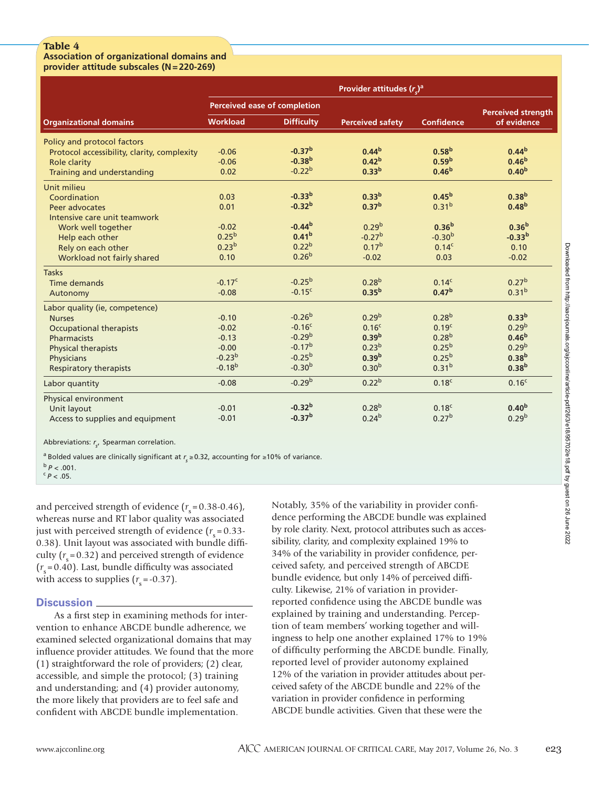|                                             | Provider attitudes $(r)$            |                   |                         |                   |                                          |
|---------------------------------------------|-------------------------------------|-------------------|-------------------------|-------------------|------------------------------------------|
|                                             | <b>Perceived ease of completion</b> |                   |                         |                   |                                          |
| <b>Organizational domains</b>               | <b>Workload</b>                     | <b>Difficulty</b> | <b>Perceived safety</b> | <b>Confidence</b> | <b>Perceived strength</b><br>of evidence |
| Policy and protocol factors                 |                                     |                   |                         |                   |                                          |
| Protocol accessibility, clarity, complexity | $-0.06$                             | $-0.37b$          | $0.44^{b}$              | 0.58 <sup>b</sup> | $0.44^{b}$                               |
| <b>Role clarity</b>                         | $-0.06$                             | $-0.38b$          | 0.42 <sup>b</sup>       | 0.59 <sup>b</sup> | 0.46 <sup>b</sup>                        |
| Training and understanding                  | 0.02                                | $-0.22^{b}$       | 0.33 <sup>b</sup>       | $0.46^{b}$        | 0.40 <sup>b</sup>                        |
| Unit milieu                                 |                                     |                   |                         |                   |                                          |
| Coordination                                | 0.03                                | $-0.33b$          | 0.33 <sup>b</sup>       | $0.45^{b}$        | 0.38 <sup>b</sup>                        |
| Peer advocates                              | 0.01                                | $-0.32b$          | 0.37 <sup>b</sup>       | 0.31 <sup>b</sup> | 0.48 <sup>b</sup>                        |
| Intensive care unit teamwork                |                                     |                   |                         |                   |                                          |
| Work well together                          | $-0.02$                             | $-0.44^{b}$       | 0.29 <sup>b</sup>       | $0.36^{b}$        | 0.36 <sup>b</sup>                        |
| Help each other                             | $0.25^{b}$                          | 0.41 <sup>b</sup> | $-0.27b$                | $-0.30b$          | $-0.33b$                                 |
| Rely on each other                          | 0.23 <sup>b</sup>                   | 0.22 <sup>b</sup> | $0.17^{b}$              | 0.14 <sup>c</sup> | 0.10                                     |
| Workload not fairly shared                  | 0.10                                | $0.26^{b}$        | $-0.02$                 | 0.03              | $-0.02$                                  |
| <b>Tasks</b>                                |                                     |                   |                         |                   |                                          |
| Time demands                                | $-0.17c$                            | $-0.25^{b}$       | $0.28^{b}$              | 0.14 <sup>c</sup> | 0.27 <sup>b</sup>                        |
| Autonomy                                    | $-0.08$                             | $-0.15c$          | $0.35^{b}$              | 0.47 <sup>b</sup> | $0.31^{b}$                               |
| Labor quality (ie, competence)              |                                     |                   |                         |                   |                                          |
| <b>Nurses</b>                               | $-0.10$                             | $-0.26^{b}$       | 0.29 <sup>b</sup>       | $0.28^{b}$        | 0.33 <sup>b</sup>                        |
| <b>Occupational therapists</b>              | $-0.02$                             | $-0.16c$          | 0.16 <sup>c</sup>       | 0.19 <sup>c</sup> | 0.29 <sup>b</sup>                        |
| Pharmacists                                 | $-0.13$                             | $-0.29b$          | 0.39 <sup>b</sup>       | $0.28^{b}$        | 0.46 <sup>b</sup>                        |
| <b>Physical therapists</b>                  | $-0.00$                             | $-0.17b$          | 0.23 <sup>b</sup>       | $0.25^{b}$        | 0.29 <sup>b</sup>                        |
| Physicians                                  | $-0.23b$                            | $-0.25^{b}$       | 0.39 <sup>b</sup>       | $0.25^{b}$        | 0.38 <sup>b</sup>                        |
| <b>Respiratory therapists</b>               | $-0.18^{b}$                         | $-0.30b$          | $0.30^{b}$              | 0.31 <sup>b</sup> | 0.38 <sup>b</sup>                        |
| Labor quantity                              | $-0.08$                             | $-0.29b$          | 0.22 <sup>b</sup>       | 0.18 <sup>c</sup> | 0.16 <sup>c</sup>                        |
| Physical environment                        |                                     |                   |                         |                   |                                          |
| Unit layout                                 | $-0.01$                             | $-0.32b$          | $0.28^{b}$              | 0.18 <sup>c</sup> | $0.40^{b}$                               |
| Access to supplies and equipment            | $-0.01$                             | $-0.37b$          | $0.24^{b}$              | 0.27 <sup>b</sup> | 0.29 <sup>b</sup>                        |

Abbreviations: *r s* , Spearman correlation.

<sup>a</sup> Bolded values are clinically significant at *r*<sub>s</sub> ≥0.32, accounting for ≥10% of variance.

 $\frac{b}{c}P < .001$ .<br> $\frac{c}{c}P < .05$ .

and perceived strength of evidence  $(r<sub>s</sub> = 0.38 - 0.46)$ , whereas nurse and RT labor quality was associated just with perceived strength of evidence  $(r<sub>s</sub> = 0.33$ 0.38). Unit layout was associated with bundle difficulty ( $r_s$  = 0.32) and perceived strength of evidence  $(r<sub>s</sub>=0.40)$ . Last, bundle difficulty was associated with access to supplies  $(r<sub>s</sub>=-0.37)$ .

#### **Discussion**

As a first step in examining methods for intervention to enhance ABCDE bundle adherence, we examined selected organizational domains that may influence provider attitudes. We found that the more (1) straightforward the role of providers; (2) clear, accessible, and simple the protocol; (3) training and understanding; and (4) provider autonomy, the more likely that providers are to feel safe and confident with ABCDE bundle implementation.

Notably, 35% of the variability in provider confidence performing the ABCDE bundle was explained by role clarity. Next, protocol attributes such as accessibility, clarity, and complexity explained 19% to 34% of the variability in provider confidence, perceived safety, and perceived strength of ABCDE bundle evidence, but only 14% of perceived difficulty. Likewise, 21% of variation in providerreported confidence using the ABCDE bundle was explained by training and understanding. Perception of team members' working together and willingness to help one another explained 17% to 19% of difficulty performing the ABCDE bundle. Finally, reported level of provider autonomy explained 12% of the variation in provider attitudes about perceived safety of the ABCDE bundle and 22% of the variation in provider confidence in performing ABCDE bundle activities. Given that these were the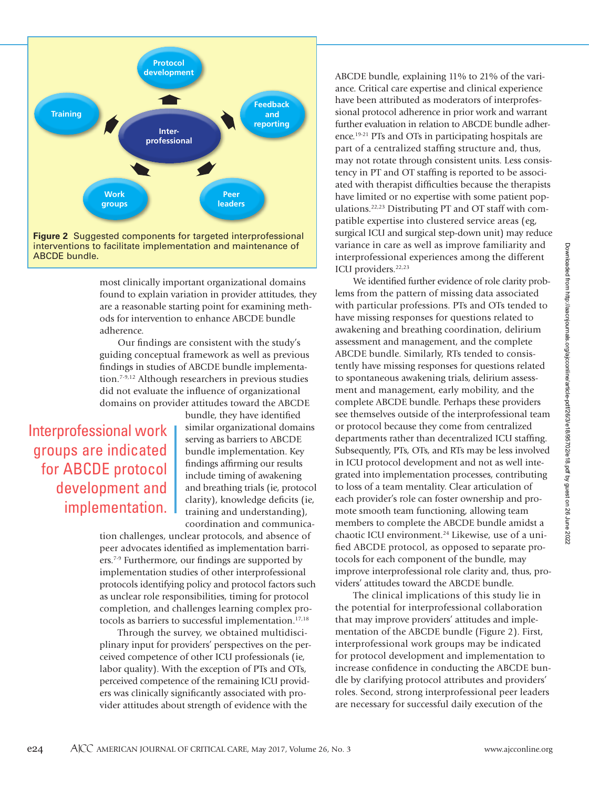

most clinically important organizational domains found to explain variation in provider attitudes, they are a reasonable starting point for examining methods for intervention to enhance ABCDE bundle adherence.

Our findings are consistent with the study's guiding conceptual framework as well as previous findings in studies of ABCDE bundle implementation.7-9,12 Although researchers in previous studies did not evaluate the influence of organizational domains on provider attitudes toward the ABCDE

## Interprofessional work groups are indicated for ABCDE protocol development and implementation.

bundle, they have identified similar organizational domains serving as barriers to ABCDE bundle implementation. Key findings affirming our results include timing of awakening and breathing trials (ie, protocol clarity), knowledge deficits (ie, training and understanding), coordination and communica-

tion challenges, unclear protocols, and absence of peer advocates identified as implementation barriers.7-9 Furthermore, our findings are supported by implementation studies of other interprofessional protocols identifying policy and protocol factors such as unclear role responsibilities, timing for protocol completion, and challenges learning complex protocols as barriers to successful implementation.<sup>17,18</sup>

Through the survey, we obtained multidisciplinary input for providers' perspectives on the perceived competence of other ICU professionals (ie, labor quality). With the exception of PTs and OTs, perceived competence of the remaining ICU providers was clinically significantly associated with provider attitudes about strength of evidence with the

ABCDE bundle, explaining 11% to 21% of the variance. Critical care expertise and clinical experience have been attributed as moderators of interprofessional protocol adherence in prior work and warrant further evaluation in relation to ABCDE bundle adherence.19-21 PTs and OTs in participating hospitals are part of a centralized staffing structure and, thus, may not rotate through consistent units. Less consistency in PT and OT staffing is reported to be associated with therapist difficulties because the therapists have limited or no expertise with some patient populations.22,23 Distributing PT and OT staff with compatible expertise into clustered service areas (eg, surgical ICU and surgical step-down unit) may reduce variance in care as well as improve familiarity and interprofessional experiences among the different ICU providers.<sup>22,23</sup>

We identified further evidence of role clarity problems from the pattern of missing data associated with particular professions. PTs and OTs tended to have missing responses for questions related to awakening and breathing coordination, delirium assessment and management, and the complete ABCDE bundle. Similarly, RTs tended to consistently have missing responses for questions related to spontaneous awakening trials, delirium assessment and management, early mobility, and the complete ABCDE bundle. Perhaps these providers see themselves outside of the interprofessional team or protocol because they come from centralized departments rather than decentralized ICU staffing. Subsequently, PTs, OTs, and RTs may be less involved in ICU protocol development and not as well integrated into implementation processes, contributing to loss of a team mentality. Clear articulation of each provider's role can foster ownership and promote smooth team functioning, allowing team members to complete the ABCDE bundle amidst a chaotic ICU environment.24 Likewise, use of a unified ABCDE protocol, as opposed to separate protocols for each component of the bundle, may improve interprofessional role clarity and, thus, providers' attitudes toward the ABCDE bundle.

The clinical implications of this study lie in the potential for interprofessional collaboration that may improve providers' attitudes and implementation of the ABCDE bundle (Figure 2). First, interprofessional work groups may be indicated for protocol development and implementation to increase confidence in conducting the ABCDE bundle by clarifying protocol attributes and providers' roles. Second, strong interprofessional peer leaders are necessary for successful daily execution of the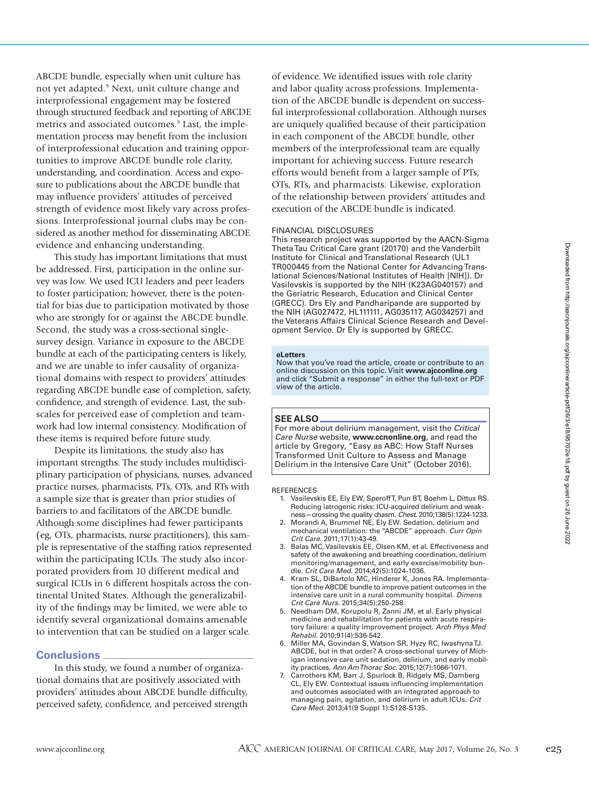ful interprofessional collaboration. Although nurses are uniquely qualified because of their participation in each component of the ABCDE bundle, other members of the interprofessional team are equally important for achieving success. Future research efforts would benefit from a larger sample of PTs, OTs, RTs, and pharmacists. Likewise, exploration of the relationship between providers' attitudes and execution of the ABCDE bundle is indicated. This research project was supported by the AACN-Sigma Theta Tau Critical Care grant (20170) and the Vanderbilt Institute for Clinical and Translational Research (UL1 TR000445 from the National Center for Advancing Translational Sciences/National Institutes of Health [NIH]). Dr Vasilevskis is supported by the NIH (K23AG040157) and the Geriatric Research, Education and Clinical Center (GRECC). Drs Ely and Pandharipande are supported by the NIH (AG027472, HL111111, AG035117, AG034257) and the Veterans Affairs Clinical Science Research and Devel-Now that you've read the article, create or contribute to an online discussion on this topic. Visit **www.ajcconline.org** and click "Submit a response" in either the full-text or PDF

view of the article.

**eLetters**

FINANCIAL DISCLOSURES

**SEE ALSO**  For more about delirium management, visit the *Critical Care Nurse* website, **www.ccnonline.org**, and read the article by Gregory, "Easy as ABC: How Staff Nurses Transformed Unit Culture to Assess and Manage Delirium in the Intensive Care Unit" (October 2016).

opment Service. Dr Ely is supported by GRECC.

of evidence. We identified issues with role clarity and labor quality across professions. Implementation of the ABCDE bundle is dependent on success-

#### REFERENCES

- 1. Vasilevskis EE, Ely EW, Speroff T, Pun BT, Boehm L, Dittus RS. Reducing iatrogenic risks: ICU-acquired delirium and weakness—crossing the quality chasm. *Chest.* 2010;138(5):1224-1233.
- 2. Morandi A, Brummel NE, Ely EW. Sedation, delirium and mechanical ventilation: the "ABCDE" approach. *Curr Opin Crit Care.* 2011;17(1):43-49.
- 3. Balas MC, Vasilevskis EE, Olsen KM, et al. Effectiveness and safety of the awakening and breathing coordination, delirium monitoring/management, and early exercise/mobility bundle. *Crit Care Med.* 2014;42(5):1024-1036.
- 4. Kram SL, DiBartolo MC, Hinderer K, Jones RA. Implementation of the ABCDE bundle to improve patient outcomes in the intensive care unit in a rural community hospital. *Dimens Crit Care Nurs.* 2015;34(5):250-258.
- 5. Needham DM, Korupolu R, Zanni JM, et al. Early physical medicine and rehabilitation for patients with acute respiratory failure: a quality improvement project. *Arch Phys Med Rehabil.* 2010;91(4):536-542.
- 6. Miller MA, Govindan S, Watson SR, Hyzy RC, Iwashyna TJ. ABCDE, but in that order? A cross-sectional survey of Michigan intensive care unit sedation, delirium, and early mobility practices. *Ann Am Thorac Soc.* 2015;12(7):1066-1071.
- 7. Carrothers KM, Barr J, Spurlock B, Ridgely MS, Damberg CL, Ely EW. Contextual issues influencing implementation and outcomes associated with an integrated approach to managing pain, agitation, and delirium in adult ICUs. *Crit Care Med.* 2013;41(9 Suppl 1):S128-S135.

ABCDE bundle, especially when unit culture has not yet adapted.9 Next, unit culture change and interprofessional engagement may be fostered through structured feedback and reporting of ABCDE metrics and associated outcomes.<sup>9</sup> Last, the implementation process may benefit from the inclusion of interprofessional education and training opportunities to improve ABCDE bundle role clarity, understanding, and coordination. Access and exposure to publications about the ABCDE bundle that may influence providers' attitudes of perceived strength of evidence most likely vary across professions. Interprofessional journal clubs may be considered as another method for disseminating ABCDE evidence and enhancing understanding.

This study has important limitations that must be addressed. First, participation in the online survey was low. We used ICU leaders and peer leaders to foster participation; however, there is the potential for bias due to participation motivated by those who are strongly for or against the ABCDE bundle. Second, the study was a cross-sectional singlesurvey design. Variance in exposure to the ABCDE bundle at each of the participating centers is likely, and we are unable to infer causality of organizational domains with respect to providers' attitudes regarding ABCDE bundle ease of completion, safety, confidence, and strength of evidence. Last, the subscales for perceived ease of completion and teamwork had low internal consistency. Modification of these items is required before future study.

Despite its limitations, the study also has important strengths. The study includes multidisciplinary participation of physicians, nurses, advanced practice nurses, pharmacists, PTs, OTs, and RTs with a sample size that is greater than prior studies of barriers to and facilitators of the ABCDE bundle. Although some disciplines had fewer participants (eg, OTs, pharmacists, nurse practitioners), this sample is representative of the staffing ratios represented within the participating ICUs. The study also incorporated providers from 10 different medical and surgical ICUs in 6 different hospitals across the continental United States. Although the generalizability of the findings may be limited, we were able to identify several organizational domains amenable to intervention that can be studied on a larger scale.

#### **Conclusions**

In this study, we found a number of organizational domains that are positively associated with providers' attitudes about ABCDE bundle difficulty, perceived safety, confidence, and perceived strength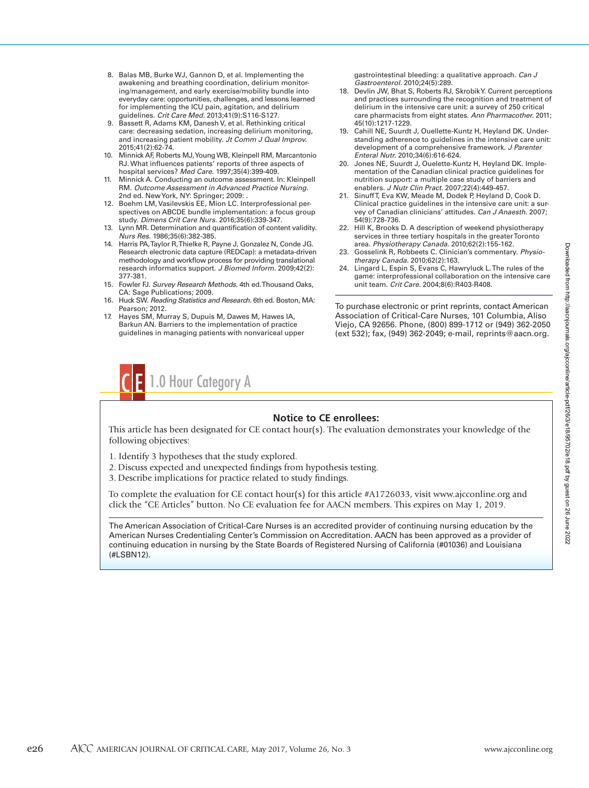- 8. Balas MB, Burke WJ, Gannon D, et al. Implementing the awakening and breathing coordination, delirium monitoring/management, and early exercise/mobility bundle into everyday care: opportunities, challenges, and lessons learned for implementing the ICU pain, agitation, and delirium guidelines. *Crit Care Med.* 2013;41(9):S116-S127.
- 9. Bassett R, Adams KM, Danesh V, et al. Rethinking critical care: decreasing sedation, increasing delirium monitoring, and increasing patient mobility. *Jt Comm J Qual Improv.* 2015;41(2):62-74.
- 10. Minnick AF, Roberts MJ, Young WB, Kleinpell RM, Marcantonio RJ. What influences patients' reports of three aspects of hospital services? *Med Care.* 1997;35(4):399-409.
- 11. Minnick A. Conducting an outcome assessment. In: Kleinpell RM. *Outcome Assessment in Advanced Practice Nursing.* 2nd ed. New York, NY: Springer; 2009:
- 12. Boehm LM, Vasilevskis EE, Mion LC. Interprofessional perspectives on ABCDE bundle implementation: a focus group study. *Dimens Crit Care Nurs.* 2016;35(6):339-347.
- 13. Lynn MR. Determination and quantification of content validity. *Nurs Res.* 1986;35(6):382-385.
- 14. Harris PA, Taylor R, Thielke R, Payne J, Gonzalez N, Conde JG. Research electronic data capture (REDCap): a metadata-driven methodology and workflow process for providing translational research informatics support. *J Biomed Inform.* 2009;42(2): 377-381.
- 15. Fowler FJ. *Survey Research Methods.* 4th ed. Thousand Oaks, CA: Sage Publications; 2009.
- 16. Huck SW. *Reading Statistics and Research.* 6th ed. Boston, MA: Pearson; 2012.
- 17. Hayes SM, Murray S, Dupuis M, Dawes M, Hawes IA, Barkun AN. Barriers to the implementation of practice guidelines in managing patients with nonvariceal upper



gastrointestinal bleeding: a qualitative approach. *Can J Gastroenterol.* 2010;24(5):289.

- 18. Devlin JW, Bhat S, Roberts RJ, Skrobik Y. Current perceptions and practices surrounding the recognition and treatment of delirium in the intensive care unit: a survey of 250 critical care pharmacists from eight states. *Ann Pharmacother.* 2011; 45(10):1217-1229.
- 19. Cahill NE, Suurdt J, Ouellette-Kuntz H, Heyland DK. Understanding adherence to guidelines in the intensive care unit: development of a comprehensive framework. *J Parenter Enteral Nutr.* 2010;34(6):616-624.
- 20. Jones NE, Suurdt J, Ouelette-Kuntz H, Heyland DK. Implementation of the Canadian clinical practice guidelines for nutrition support: a multiple case study of barriers and enablers. *J Nutr Clin Pract.* 2007;22(4):449-457.
- 21. Sinuff T, Eva KW, Meade M, Dodek P, Heyland D, Cook D. Clinical practice guidelines in the intensive care unit: a survey of Canadian clinicians' attitudes. *Can J Anaesth.* 2007; 54(9):728-736.
- 22. Hill K, Brooks D. A description of weekend physiotherapy services in three tertiary hospitals in the greater Toronto area. *Physiotherapy Canada.* 2010;62(2):155-162.
- 23. Gosselink R, Robbeets C. Clinician's commentary. *Physiotherapy Canada.* 2010;62(2):163.
- 24. Lingard L, Espin S, Evans C, Hawryluck L. The rules of the game: interprofessional collaboration on the intensive care unit team. *Crit Care.* 2004;8(6):R403-R408.

To purchase electronic or print reprints, contact American Association of Critical-Care Nurses, 101 Columbia, Aliso Viejo, CA 92656. Phone, (800) 899-1712 or (949) 362-2050 (ext 532); fax, (949) 362-2049; e-mail, reprints@aacn.org.

#### **Notice to CE enrollees:**

This article has been designated for CE contact hour(s). The evaluation demonstrates your knowledge of the following objectives:

- 1. Identify 3 hypotheses that the study explored.
- 2. Discuss expected and unexpected findings from hypothesis testing.
- 3. Describe implications for practice related to study findings.

To complete the evaluation for CE contact hour(s) for this article #A1726033, visit www.ajcconline.org and click the "CE Articles" button. No CE evaluation fee for AACN members. This expires on May 1, 2019.

The American Association of Critical-Care Nurses is an accredited provider of continuing nursing education by the American Nurses Credentialing Center's Commission on Accreditation. AACN has been approved as a provider of continuing education in nursing by the State Boards of Registered Nursing of California (#01036) and Louisiana (#LSBN12).